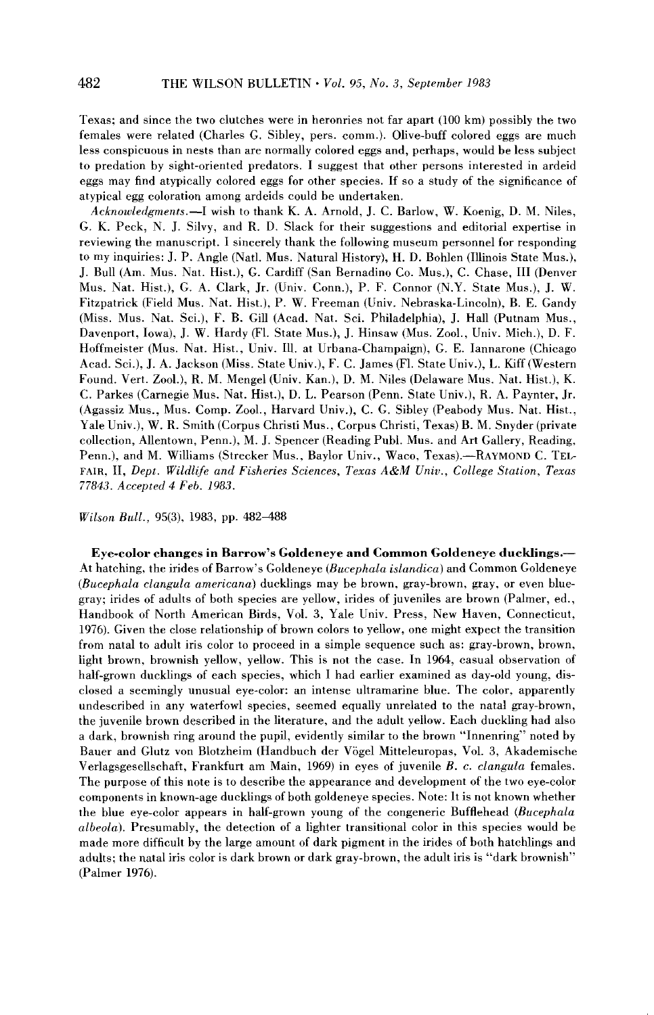**Texas; and since the two clutches were in heronries not far apart (100 km) possibly the two females were related (Charles G. Sibley, pers. comm.). Olive-buff colored eggs are much less conspicuous in nests than are normally colored eggs and, perhaps, would be less subject to predation by sight-oriented predators. I suggest that other persons interested in ardeid eggs may find atypically colored eggs for other species. If so a study of the significance of atypical egg coloration among ardeids could be undertaken.** 

**Acknowledgments.-1 wish to thank K. A. Arnold, J. C. Barlow, W. Koenig, D. M. Niles, G. K. Peck, N. J. Silvy, and R. D. Slack for their suggestions and editorial expertise in reviewing the manuscript. I sincerely thank the following museum personnel for responding to my inquiries: J. P. Angle (Natl. Mus. Natural History), H. D. Bohlen (Illinois State Mus.), J. Bull (Am. Mus. Nat. Hist.), G. Cardiff (San Bernadino Co. Mus.), C. Chase, III (Denver Mus. Nat. Hist.), G. A. Clark, Jr. (Univ. Conn.), P. F. Connor (N.Y. State Mus.), J. W. Fitzpatrick (Field Mus. Nat. Hist.), P. W. Freeman (Univ. Nebraska-Lincoln), B. E. Gandy (Miss. Mus. Nat. Sci.), F. B. Gill (Acad. Nat. Sci. Philadelphia), J. Hall (Putnam Mus., Davenport, Iowa), J. W. Hardy (Fl. State Mus.), J. Hinsaw (Mus. Zool., Univ. Mich.), D. F. Hoffmeister (Mus. Nat. Hist., Univ. Ill. at Urbana-Champaign), G. E. Iannarone (Chicago Acad. Sci.), J. A. Jackson (Miss. State Univ.), F. C. James (Fl. State Univ.), L. Kiff (Western Found. Vert. Zool.), R. M. Mengel (Univ. Kan.), D. M. Niles (Delaware Mus. Nat. Hist.), K. C. Parkes (Carnegie Mus. Nat. Hist.), D. L. Pearson (Penn. State Univ.), R. A. Paynter, Jr. (Agassiz Mus., Mus. Comp. Zool., Harvard Univ.), C. G. Sibley (Peabody Mus. Nat. Hist., Yale Univ.), W. R. Smith (Corpus Christi Mus., Corpus Christi, Texas) B. M. Snyder (private collection, Allentown, Penn.), M. J. Spencer (Reading Publ. Mus. and Art Gallery, Reading,**  Penn.), and M. Williams (Strecker Mus., Baylor Univ., Waco, Texas).--RAYMOND C. TEL-**FAIR, II, Dept. Wildlife and Fisheries Sciences, Texas A&M Univ., College Station, Texas 77843. Accepted 4 Feb. 1983.** 

**Wilson Bull., 95(3), 1983, pp. 482-488** 

**Eye-color changes in Barrow's Goldeneye and Common Goldeneye ducklings.-At hatching, the irides of Barrows ' Goldeneye (Bucephala islandica) and Common Goldeneye**  (Bucephala clangula americana) ducklings may be brown, gray-brown, gray, or even blue**gray; irides of adults of both species are yellow, irides of juveniles are brown (Palmer, ed., Handbook of North American Birds, Vol. 3, Yale Univ. Press, New Haven, Connecticut, 1976). Given the close relationship of brown colors to yellow, one might expect the transition from natal to adult iris color to proceed in a simple sequence such as: gray-brown, brown, light brown, brownish yellow, yellow. This is not the case. In 1964, casual observation of half-grown ducklings of each species, which I had earlier examined as day-old young, disclosed a seemingly unusual eye-color: an intense ultramarine blue. The color, apparently undescribed in any waterfowl species, seemed equally unrelated to the natal gray-brown, the juvenile brown described in the literature, and the adult yellow. Each duckling had also a dark, brownish ring around the pupil, evidently similar to the brown "Innenring" noted by Bauer and Glutz von Blotzheim (Handbuch der Vogel Mitteleuropas, Vol. 3, Akademische Verlagsgesellschaft, Frankfurt am Main, 1969) in eyes of juvenile B. c. clangula females. The purpose of this note is to describe the appearance and development of the two eye-color components in known-age ducklings of both goldeneye species. Note: It is not known whether the blue eye-color appears in half-grown young of the congeneric Bufflehead (Bucephala albrola). Presumably, the detection of a lighter transitional color in this species would be**  made more difficult by the large amount of dark pigment in the irides of both hatchlings and **adults; the natal iris color is dark brown or dark gray-brown, the adult iris is "dark brownish" (Palmer 1976).**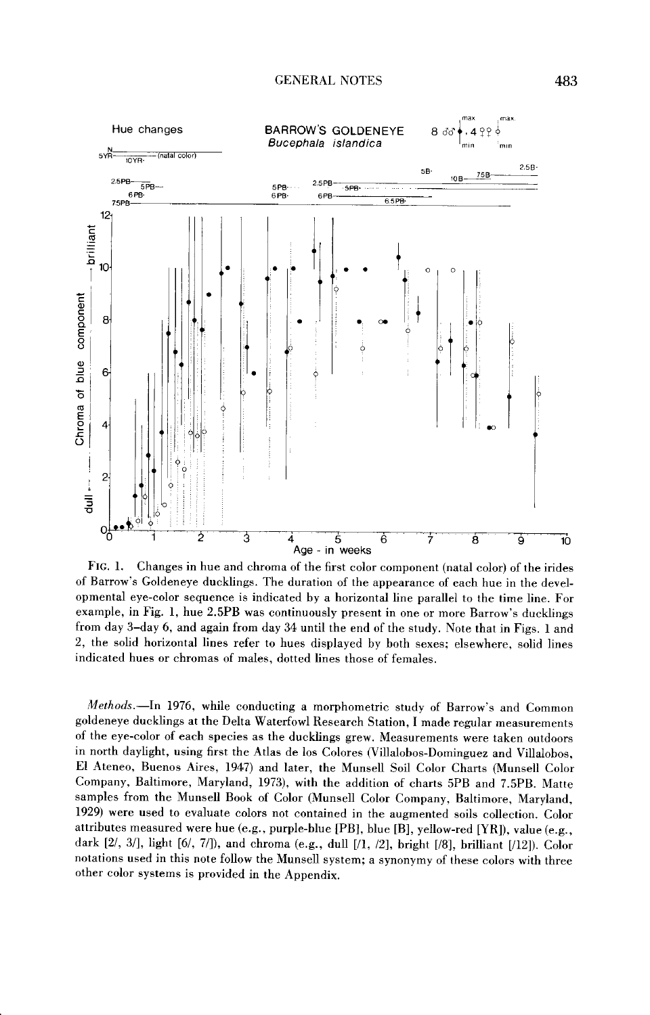

**FIG. 1. Changes in hue and chroma of the first color component (natal color) of the irides**  of Barrow's Goldeneye ducklings. The duration of the appearance of each hue in the devel**opmental eye-color sequence is indicated by a horizontal line parallel to the time line. For**  example, in Fig. 1, hue 2.5PB was continuously present in one or more Barrow's ducklings **from day 3-day 6, and again from day 34 until the end of the study. Note that in Figs. 1 and 2, the solid horizontal lines refer to hues displayed by both sexes; elsewhere, solid lines indicated hues or chromas of males, dotted lines those of females.** 

Methods.-In 1976, while conducting a morphometric study of Barrow's and Common **goldeneye ducklings at the Delta Waterfowl Research Station, I made regular measurements of the eye-color of each species as the ducklings grew. Measurements were taken outdoors in north daylight, using first the Atlas de 10s Colores (Villalobos-Dominguez and Villalobos, El Ateneo, Buenos Aires, 1947) and later, the Munsell Soil Color Charts (Munsell Color Company, Baltimore, Maryland, 1973), with the addition of charts 5PB and 7.5PB. Matte samples from the Munsell Book of Color (Munsell Color Company, Baltimore, Maryland, 1929) were used to evaluate colors not contained in the augmented soils collection. Color attributes measured were hue (e.g., purple-blue [PB], blue [B], yellow-red [YR]), value (e.g., dark [2/, 3/], light [6/, 7/]), and chroma (e.g., dull [/I: /2], bright [/8], brilliant [/lZ]). Color notations used in this note follow the Munsell system; a synonymy of these colors with three other color systems is provided in the Appendix.**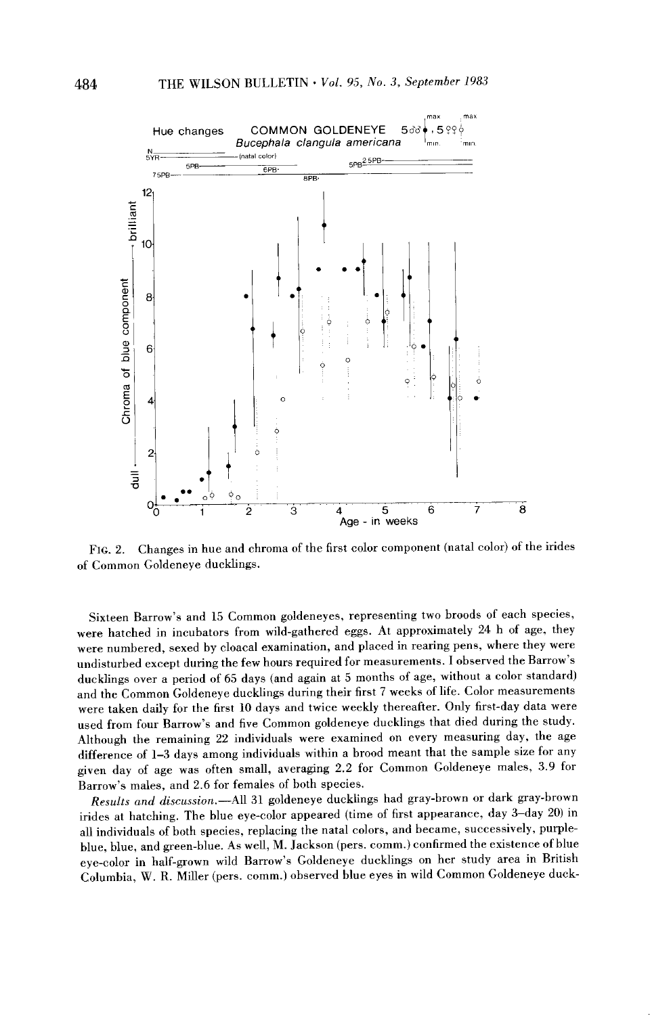

**FIG. 2. Changes in hue and chroma of the first color component (natal color) of the irides of Common Goldeneye ducklings.** 

Sixteen Barrow's and 15 Common goldeneyes, representing two broods of each species, **were hatched in incubators from wild-gathered eggs. At approximately 24 h of age, they**  were numbered, sexed by cloacal examination, and placed in rearing pens, where they were **undisturbed except during the few hours required for measurements. I observed the Barrows ' ducklings over a period of 65 days (and again at 5 months of age, without a color standard) and the Common Goldeneye ducklings during their first 7 weeks of life. Color measurements were taken daily for the first 10 days and twice weekly thereafter. Only first-day data were**  used from four Barrow's and five Common goldeneye ducklings that died during the study. **Although the remaining 22 individuals were examined on every measuring day, the age difference of l-3 days among individuals within a brood meant that the sample size for any given day of age was often small, averaging 2.2 for Common Goldeneye males, 3.9 for**  Barrow's males, and 2.6 for females of both species.

**Results and discussion.-All 31 goldeneye ducklings had gray-brown or dark gray-brown irides at hatching. The blue eye-color appeared (time of first appearance, day 3-day 20) in all individuals of both species, replacing the natal colors, and became, successively, purpleblue, blue, and green-blue. As well, M. Jackson (pers. comm.) confirmed the existence of blue eye-color in half-grown wild Barrows ' Goldeneye ducklings on her study area in British Columbia, W. R. Miller (pers. comm.) observed blue eyes in wild Common Goldeneye duck-**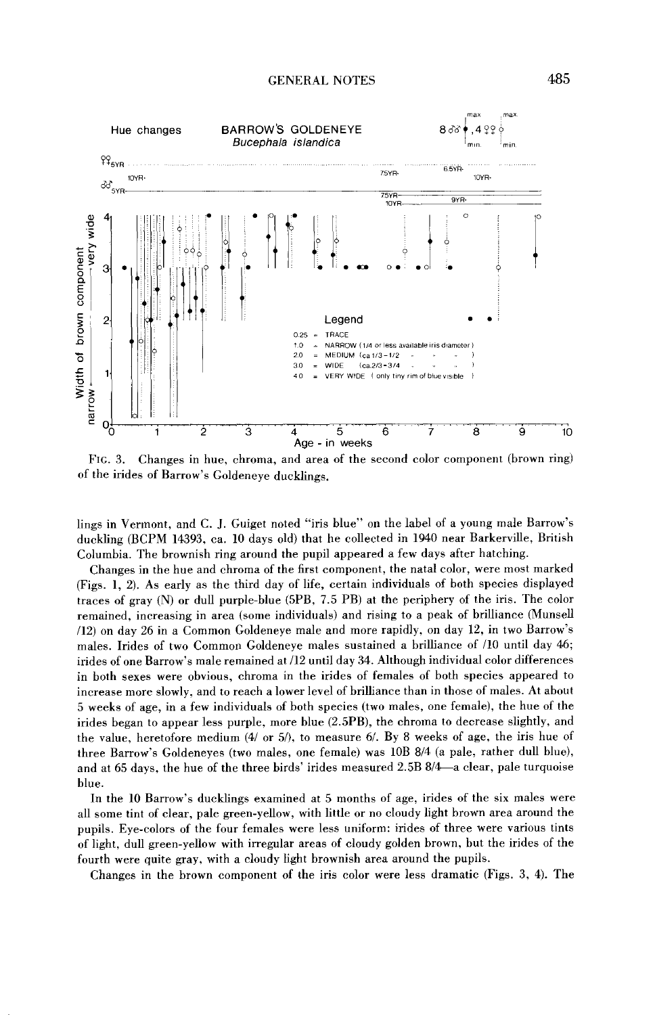

**FIG. 3. Changes in hue, chroma, and area of the second color component (brown ring) of the irides of Barrows ' Goldeneye ducklings.** 

**lings in Vermont, and C. J. Guiget noted "iris blue" on the label of a young male Barrows ' duckling (BCPM 14393, ca. 10 days old) that he collected in 1940 near Barkerville, British Columbia. The brownish ring around the pupil appeared a few days after hatching.** 

**Changes in the hue and chroma of the first component, the natal color, were most marked (Figs. 1, 2). As early as the third day of life, certain individuals of both species displayed traces of gray (N) or dull purple-blue (5PB, 7.5 PB) at the periphery of the iris. The color remained, increasing in area (some individuals) and rising to a peak of brilliance (Munsell 112) on day 26 in a Common Goldeneye male and more rapidly, on day 12, in two Barrows ' males. Irides of two Common Goldeneye males sustained a brilliance of /lo until day 46;**  irides of one Barrow's male remained at /12 until day 34. Although individual color differences **in both sexes were obvious, chroma in the irides of females of both species appeared to increase more slowly, and to reach a lower level of brilliance than in those of males. At about 5 weeks of age, in a few individuals of both species (two males, one female), the hue of the**  irides began to appear less purple, more blue (2.5PB), the chroma to decrease slightly, and the value, heretofore medium (4/ or 5/), to measure 6/. By 8 weeks of age, the iris hue of three Barrow's Goldeneyes (two males, one female) was 10B 8/4 (a pale, rather dull blue), **and at 65 days, the hue of the three birds' irides measured 2.5B 8/&-a clear, pale turquoise blue.** 

In the 10 Barrow's ducklings examined at 5 months of age, irides of the six males were **all some tint of clear, pale green-yellow, with little or no cloudy light brown area around the pupils. Eye-colors of the four females were less uniform: irides of three were various tints of light, dull green-yellow with irregular areas of cloudy golden brown, but the hides of the fourth were quite gray, with a cloudy light brownish area around the pupils.** 

**Changes in the brown component of the iris color were less dramatic (Figs. 3, 4). The**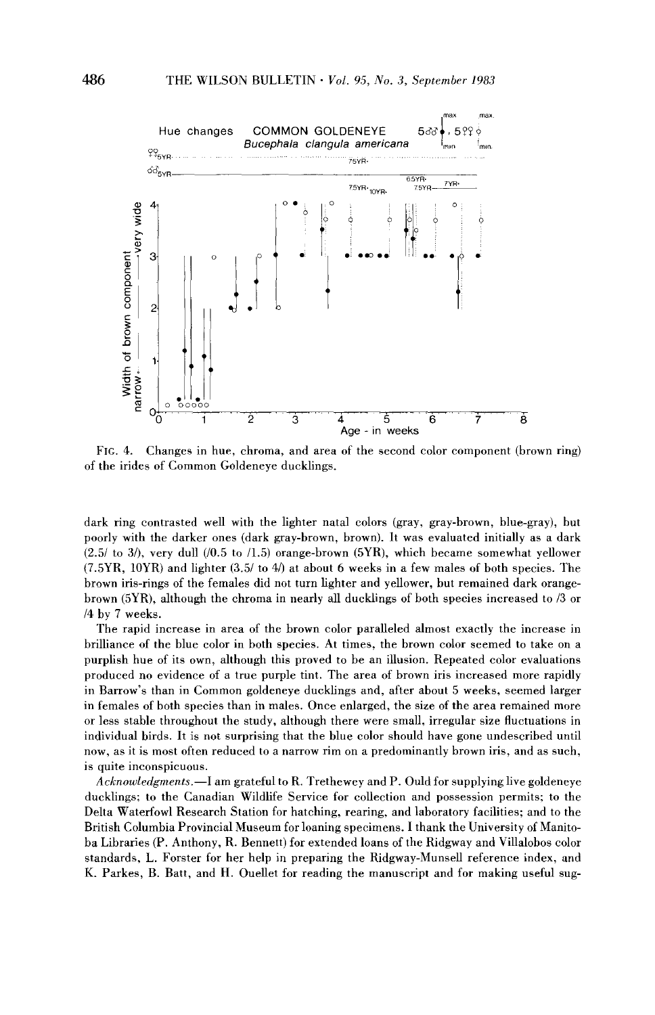

**FIG. 4. Changes in hue, chroma, and area of the second color component (brown ring) of the irides of Common Goldeneye ducklings.** 

**dark ring contrasted well with the lighter natal colors (gray, gray-brown, blue-gray), but poorly with the darker ones (dark gray-brown, brown). It was evaluated initially as a dark (2.51 to 3/), very dull (10.5 to /1.5) orange-brown (5YR), which became somewhat yellower (7.5YR, IOYR) and lighter (3.5/ to 4/) at about 6 weeks in a few males of both species. The brown iris-rings of the females did not turn lighter and yellower, but remained dark orangebrown (SYR), although the chroma in nearly all ducklings of both species increased to /3 or I4 by 7 weeks.** 

**The rapid increase in area of the brown color paralleled almost exactly the increase in brilliance of the blue color in both species. At times, the brown color seemed to take on a purplish hue of its own, although this proved to be an illusion. Repeated color evaluations produced no evidence of a true purple tint. The area of brown iris increased more rapidly**  in Barrow's than in Common goldeneye ducklings and, after about 5 weeks, seemed larger **in females of both species than in males. Once enlarged, the size of the area remained more or less stable throughout the study, although there were small, irregular size fluctuations in individual birds. It is not surprising that the blue color should have gone undescribed until now, as it is most often reduced to a narrow rim on a predominantly brown iris, and as such, is quite inconspicuous.** 

**Acknowledgments.-1 am grateful to R. Trethewey and P. Ould for supplying live goldeneye ducklings; to the Canadian Wildlife Service for collection and possession permits; to the Delta Waterfowl Research Station for hatching, rearing, and laboratory facilities; and to the British Columbia Provincial Museum for loaning specimens. I thank the University of Manitoba Libraries (P. Anthony, R. Bennett) for extended loans of the Ridgway and Villalobos color standards, L. Forster for her help in preparing the Ridgway-Munsell reference index, and K. Parkes, B. Batt, and H. Ouellet for reading the manuscript and for making useful sug-**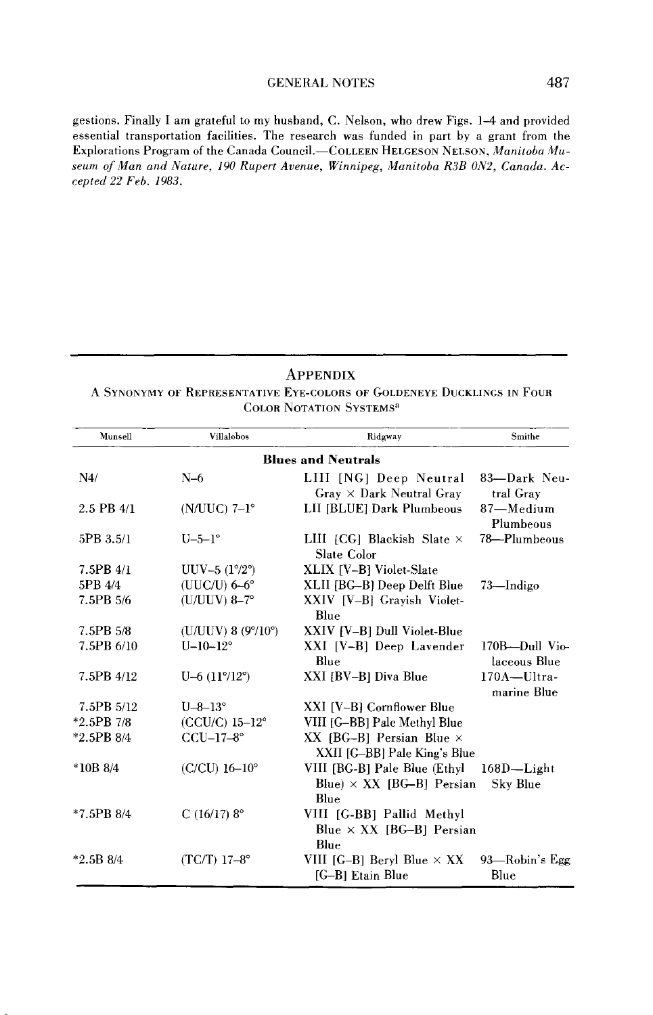## **GENERAL NOTES 487**

**gestions. Finally I am grateful to my husband, C. Nelson, who drew Figs. l-4 and provided essential transportation facilities. The research was funded in part by a grant from the**  Explorations Program of the Canada Council.-COLLEEN HELGESON NELSON, Manitoba Mu**seum of Man and Nature, 190 Rupert Avenue, Winnipeg, Manitoba R3B ON2, Canada. Accepted 22 Feb. 1983.** 

## **APPENDIX**

**A Smoiwhn' OF REPRESENTATIVE EYE-COLORS OF GOLDENEYE DUCKLINGS IN FOUR COLOR NOTATION SYSTEMS"** 

| Munsell       | <b>Villalobos</b>                   | Ridgway                                                                  | Smithe                         |
|---------------|-------------------------------------|--------------------------------------------------------------------------|--------------------------------|
|               |                                     | <b>Blues and Neutrals</b>                                                |                                |
| N4/           | $N=6$                               | LIII [NG] Deep Neutral                                                   | 83-Dark Neu-                   |
|               |                                     | Gray $\times$ Dark Neutral Gray                                          | tral Gray                      |
| 2.5 PB 4/1    | (N/UUC) $7-1^\circ$                 | LII [BLUE] Dark Plumbeous                                                | 87-Medium<br>Plumbeous         |
| 5PB 3.5/1     | $U-5-1$ °                           | LIII $[CG]$ Blackish Slate $\times$<br>Slate Color                       | 78-Plumbeous                   |
| 7.5PB 4/1     | $UUV-5 (1°/2°)$                     | XLIX [V-B] Violet-Slate                                                  |                                |
| 5PB 4/4       | $(UUC/U)$ 6-6°                      | XLII [BG-B] Deep Delft Blue                                              | 73-Indigo                      |
| 7.5PB 5/6     | (U/UUV) 8-7°                        | XXIV [V-B] Grayish Violet-<br>Blue                                       |                                |
| 7.5PB 5/8     | (U/UUV) 8 (9°/10°)                  | XXIV [V-B] Dull Violet-Blue                                              |                                |
| 7.5PB 6/10    | $U-10-12^{\circ}$                   | XXI [V-B] Deep Lavender<br>Blue                                          | 170B-Dull Vio-<br>laceous Blue |
| 7.5PB 4/12    | $U-6$ (11 $\degree$ /12 $\degree$ ) | XXI [BV-B] Diva Blue                                                     | 170A-Ultra-<br>marine Blue     |
| 7.5PB 5/12    | $U-8-13^\circ$                      | XXI [V-B] Cornflower Blue                                                |                                |
| $*2.5$ PB 7/8 | (CCU/C) 15-12°                      | VIII [G-BB] Pale Methyl Blue                                             |                                |
| $*2.5$ PB 8/4 | $CCU-17-8°$                         | XX [BG-B] Persian Blue $\times$<br>XXII [G-BB] Pale King's Blue          |                                |
| $*10B 8/4$    | $(C/CU)$ 16-10 $^{\circ}$           | VIII [BG-B] Pale Blue (Ethyl<br>Blue) $\times$ XX [BG-B] Persian<br>Blue | $168D$ —Light<br>Sky Blue      |
| $*7.5$ PB 8/4 | C $(16/17)$ 8°                      | VIII [G-BB] Pallid Methyl<br>Blue $\times$ XX [BG-B] Persian<br>Blue     |                                |
| $*2.5B$ 8/4   | $(TCT)$ 17-8°                       | VIII $[G-B]$ Beryl Blue $\times$ XX<br>[G-B] Etain Blue                  | 93-Robin's Egg<br>Blue         |